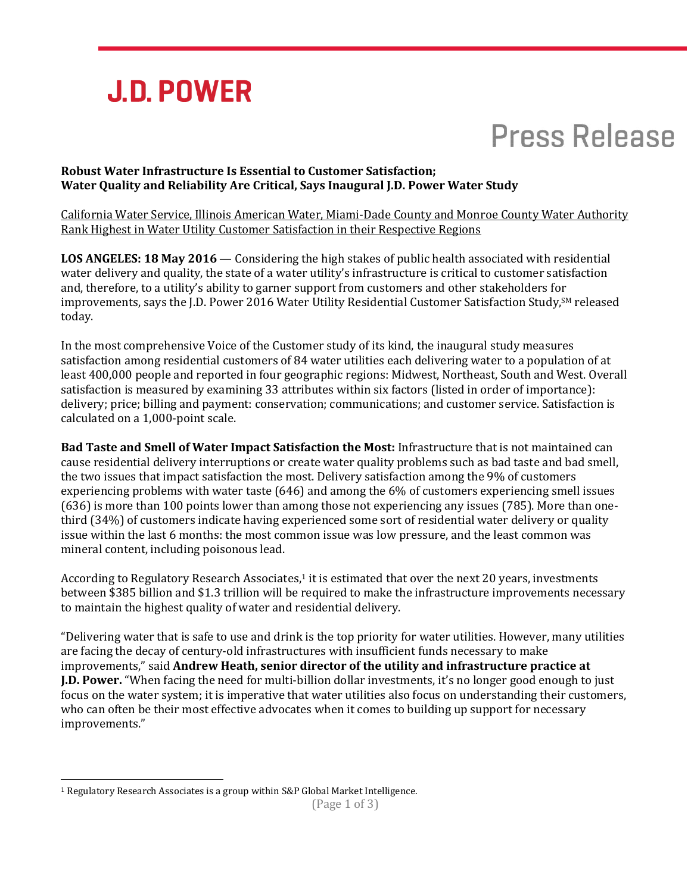

# **Press Release**

### **Robust Water Infrastructure Is Essential to Customer Satisfaction; Water Quality and Reliability Are Critical, Says Inaugural J.D. Power Water Study**

California Water Service, Illinois American Water, Miami-Dade County and Monroe County Water Authority Rank Highest in Water Utility Customer Satisfaction in their Respective Regions

**LOS ANGELES: 18 May 2016** — Considering the high stakes of public health associated with residential water delivery and quality, the state of a water utility's infrastructure is critical to customer satisfaction and, therefore, to a utility's ability to garner support from customers and other stakeholders for improvements, says the J.D. Power 2016 Water Utility Residential Customer Satisfaction Study, SM released today.

In the most comprehensive Voice of the Customer study of its kind, the inaugural study measures satisfaction among residential customers of 84 water utilities each delivering water to a population of at least 400,000 people and reported in four geographic regions: Midwest, Northeast, South and West. Overall satisfaction is measured by examining 33 attributes within six factors (listed in order of importance): delivery; price; billing and payment: conservation; communications; and customer service. Satisfaction is calculated on a 1,000-point scale.

**Bad Taste and Smell of Water Impact Satisfaction the Most:** Infrastructure that is not maintained can cause residential delivery interruptions or create water quality problems such as bad taste and bad smell, the two issues that impact satisfaction the most. Delivery satisfaction among the 9% of customers experiencing problems with water taste (646) and among the 6% of customers experiencing smell issues (636) is more than 100 points lower than among those not experiencing any issues (785). More than onethird (34%) of customers indicate having experienced some sort of residential water delivery or quality issue within the last 6 months: the most common issue was low pressure, and the least common was mineral content, including poisonous lead.

According to Regulatory Research Associates,<sup>1</sup> it is estimated that over the next 20 years, investments between \$385 billion and \$1.3 trillion will be required to make the infrastructure improvements necessary to maintain the highest quality of water and residential delivery.

"Delivering water that is safe to use and drink is the top priority for water utilities. However, many utilities are facing the decay of century-old infrastructures with insufficient funds necessary to make improvements," said **Andrew Heath, senior director of the utility and infrastructure practice at J.D. Power.** "When facing the need for multi-billion dollar investments, it's no longer good enough to just focus on the water system; it is imperative that water utilities also focus on understanding their customers, who can often be their most effective advocates when it comes to building up support for necessary improvements."

 $\overline{a}$ 

<sup>1</sup> Regulatory Research Associates is a group within S&P Global Market Intelligence.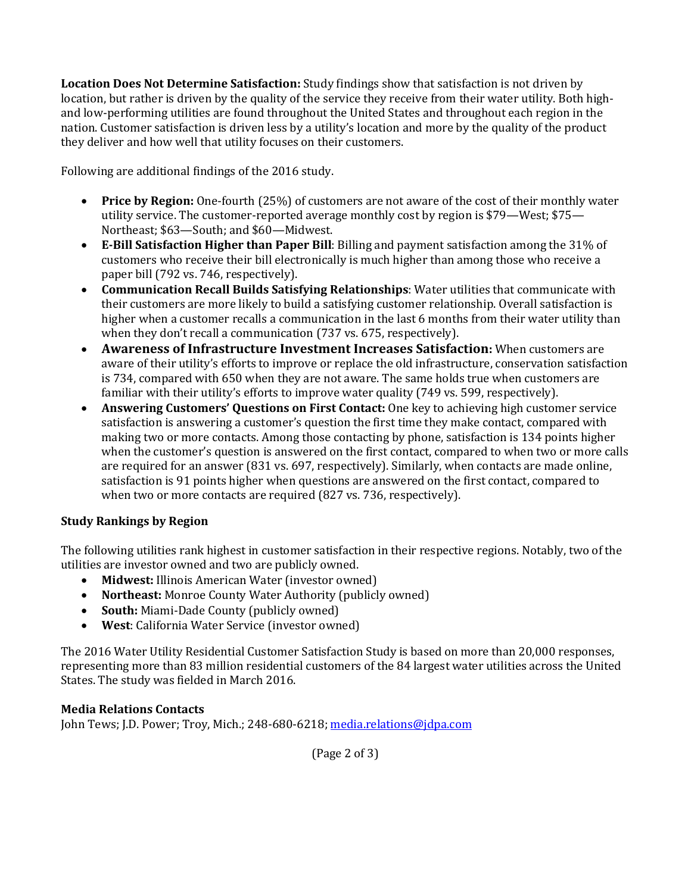**Location Does Not Determine Satisfaction:** Study findings show that satisfaction is not driven by location, but rather is driven by the quality of the service they receive from their water utility. Both highand low-performing utilities are found throughout the United States and throughout each region in the nation. Customer satisfaction is driven less by a utility's location and more by the quality of the product they deliver and how well that utility focuses on their customers.

Following are additional findings of the 2016 study.

- **Price by Region:** One-fourth (25%) of customers are not aware of the cost of their monthly water utility service. The customer-reported average monthly cost by region is \$79—West; \$75— Northeast; \$63—South; and \$60—Midwest.
- **E-Bill Satisfaction Higher than Paper Bill**: Billing and payment satisfaction among the 31% of customers who receive their bill electronically is much higher than among those who receive a paper bill (792 vs. 746, respectively).
- **Communication Recall Builds Satisfying Relationships**: Water utilities that communicate with their customers are more likely to build a satisfying customer relationship. Overall satisfaction is higher when a customer recalls a communication in the last 6 months from their water utility than when they don't recall a communication (737 vs. 675, respectively).
- **Awareness of Infrastructure Investment Increases Satisfaction:** When customers are aware of their utility's efforts to improve or replace the old infrastructure, conservation satisfaction is 734, compared with 650 when they are not aware. The same holds true when customers are familiar with their utility's efforts to improve water quality (749 vs. 599, respectively).
- **Answering Customers' Questions on First Contact:** One key to achieving high customer service satisfaction is answering a customer's question the first time they make contact, compared with making two or more contacts. Among those contacting by phone, satisfaction is 134 points higher when the customer's question is answered on the first contact, compared to when two or more calls are required for an answer (831 vs. 697, respectively). Similarly, when contacts are made online, satisfaction is 91 points higher when questions are answered on the first contact, compared to when two or more contacts are required (827 vs. 736, respectively).

## **Study Rankings by Region**

The following utilities rank highest in customer satisfaction in their respective regions. Notably, two of the utilities are investor owned and two are publicly owned.

- **Midwest:** Illinois American Water (investor owned)
- **Northeast:** Monroe County Water Authority (publicly owned)
- **South:** Miami-Dade County (publicly owned)
- **West**: California Water Service (investor owned)

The 2016 Water Utility Residential Customer Satisfaction Study is based on more than 20,000 responses, representing more than 83 million residential customers of the 84 largest water utilities across the United States. The study was fielded in March 2016.

## **Media Relations Contacts**

John Tews; J.D. Power; Troy, Mich.; 248-680-6218; media.relations@idpa.com

(Page 2 of 3)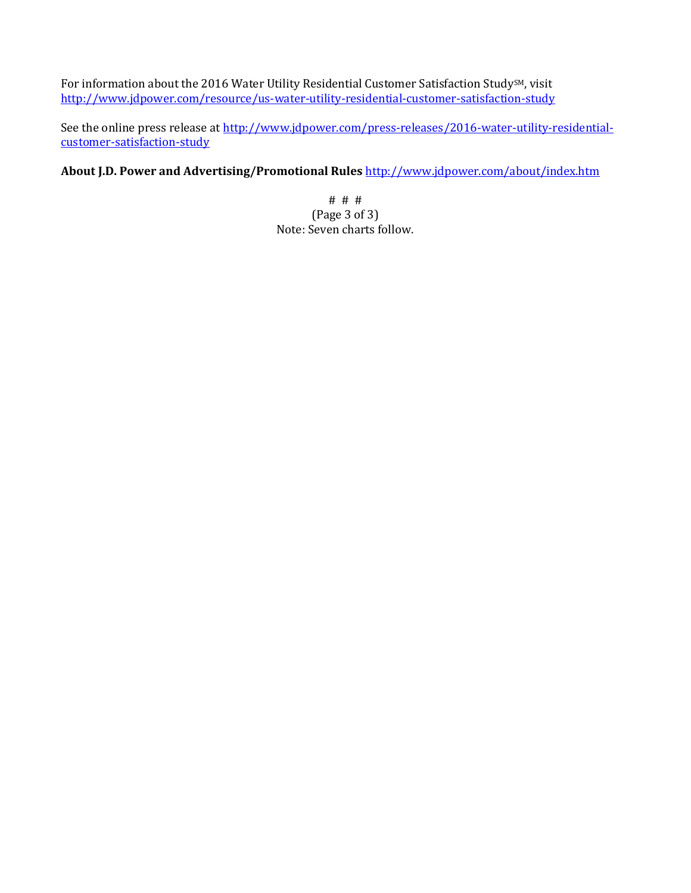For information about the 2016 Water Utility Residential Customer Satisfaction StudySM, visit <http://www.jdpower.com/resource/us-water-utility-residential-customer-satisfaction-study>

See the online press release a[t http://www.jdpower.com/press-releases/2016-water-utility-residential](http://www.jdpower.com/press-releases/2016-water-utility-residential-customer-satisfaction-study)[customer-satisfaction-study](http://www.jdpower.com/press-releases/2016-water-utility-residential-customer-satisfaction-study)

**About J.D. Power and Advertising/Promotional Rules** <http://www.jdpower.com/about/index.htm>

# # # (Page 3 of 3) Note: Seven charts follow.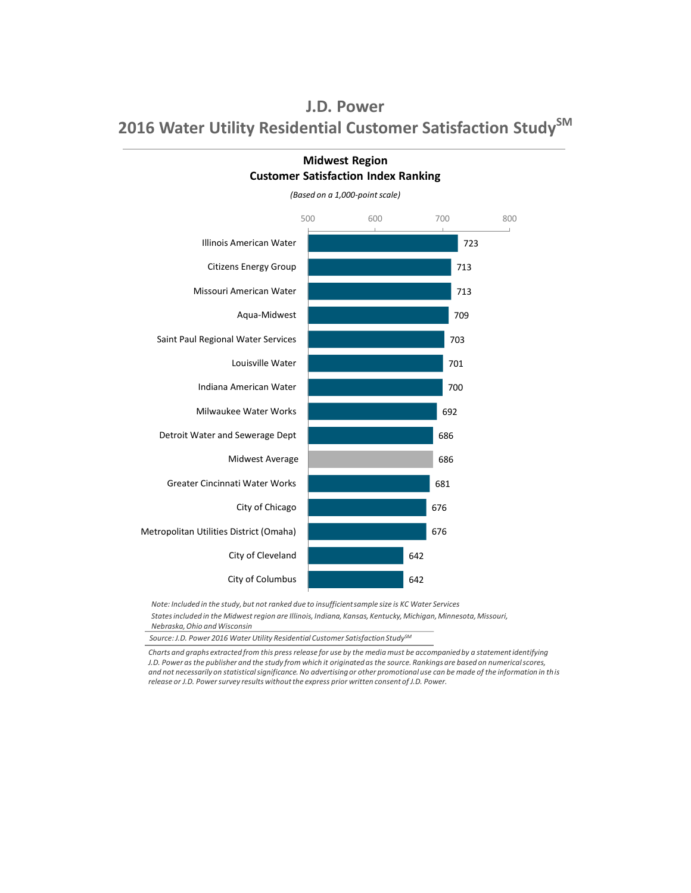

**Midwest Region Customer Satisfaction Index Ranking**

*Note: Included in the study, but not ranked due to insufficient sample size is KC Water Services*

*States included in the Midwest region are Illinois, Indiana, Kansas, Kentucky, Michigan, Minnesota, Missouri, Nebraska, Ohio and Wisconsin*

*Source: J.D. Power 2016 Water Utility Residential Customer Satisfaction StudySM*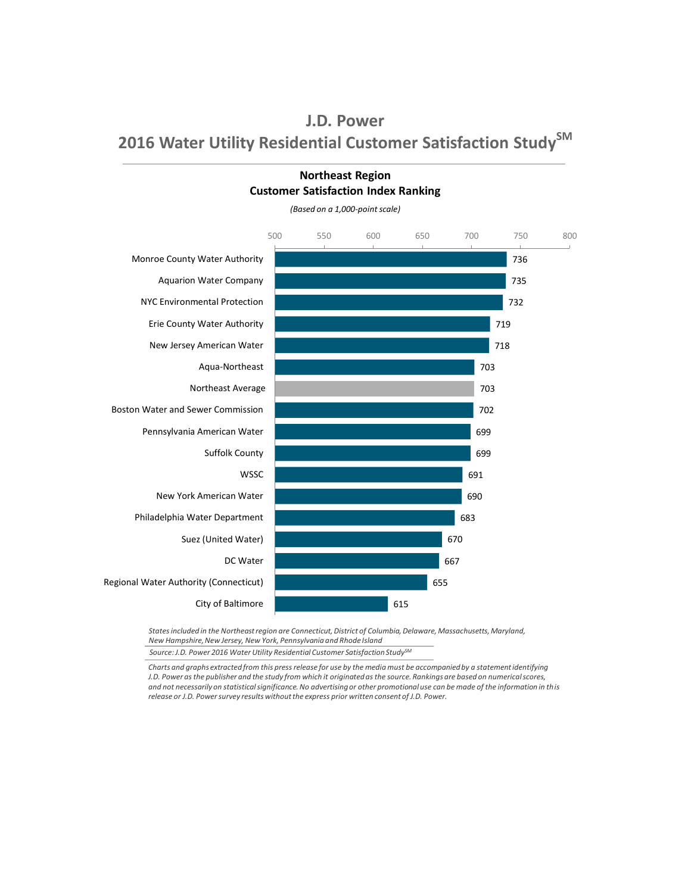

**Northeast Region Customer Satisfaction Index Ranking**

*Source: J.D. Power 2016 Water Utility Residential Customer Satisfaction StudySM States included in the Northeast region are Connecticut, District of Columbia, Delaware, Massachusetts, Maryland, New Hampshire, New Jersey, New York, Pennsylvania and Rhode Island*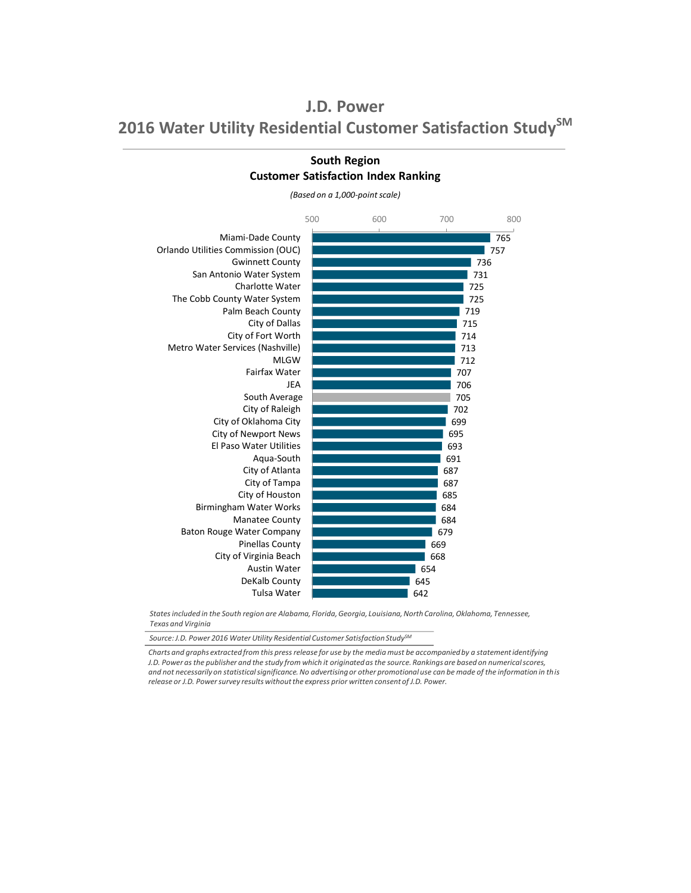

**South Region Customer Satisfaction Index Ranking**

*(Based on a 1,000-point scale)*

*States included in the South region are Alabama, Florida, Georgia, Louisiana, North Carolina, Oklahoma, Tennessee, Texas and Virginia*

*Source: J.D. Power 2016 Water Utility Residential Customer Satisfaction StudySM*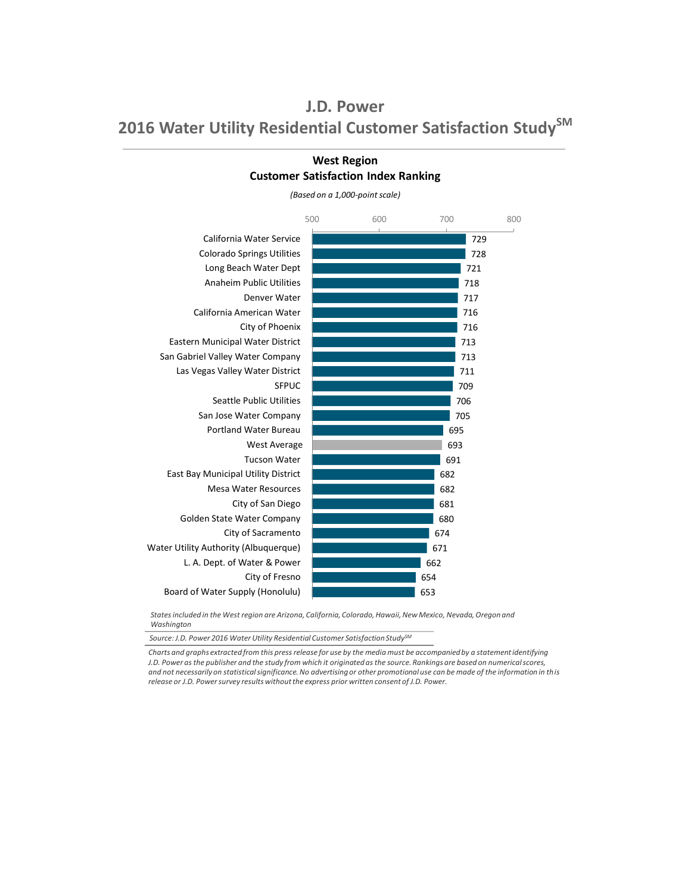

### **West Region Customer Satisfaction Index Ranking**

*(Based on a 1,000-point scale)*

*States included in the West region are Arizona, California, Colorado, Hawaii, New Mexico, Nevada, Oregon and Washington*

*Source: J.D. Power 2016 Water Utility Residential Customer Satisfaction StudySM*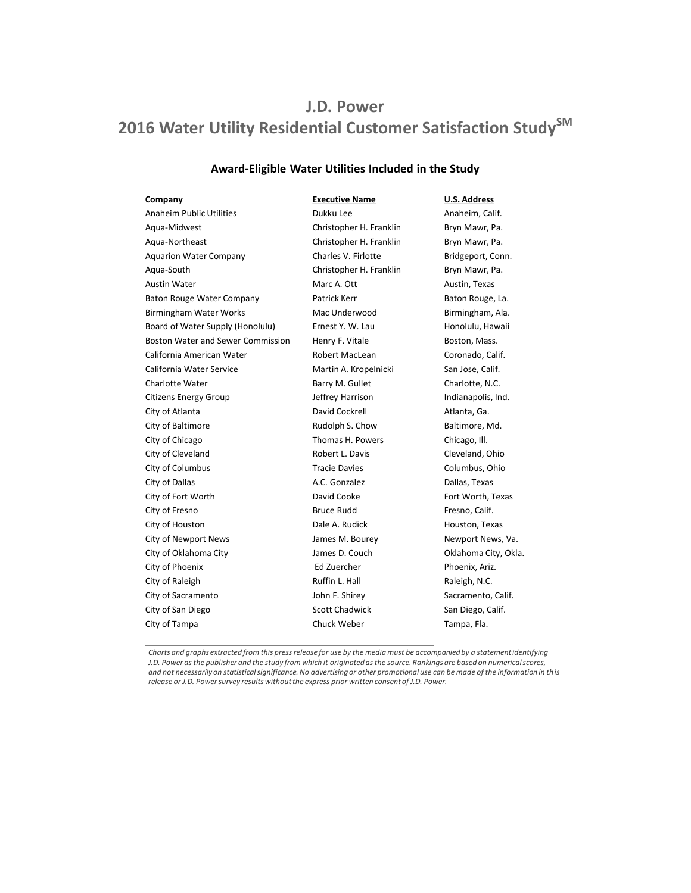### **Award-Eligible Water Utilities Included in the Study**

Anaheim Public Utilities **Anaheim**, Calif. **Dukku Lee** Anaheim, Calif. Aqua-Midwest **Christopher H. Franklin** Bryn Mawr, Pa. Aqua-Northeast **Christopher H. Franklin** Bryn Mawr, Pa. Aquarion Water Company **Charles V. Firlotte** Bridgeport, Conn. Aqua-South **Christopher H. Franklin** Bryn Mawr, Pa. Austin Water **Marc A. Ott** Austin, Texas Baton Rouge Water Company **Patrick Kerr** Patrick Terr Baton Rouge, La. Birmingham Water Works **Mac Underwood** Birmingham, Ala. Board of Water Supply (Honolulu) **Ernest Y. W. Lau Honolulu, Hawaii** Boston Water and Sewer Commission Henry F. Vitale Boston, Mass. California American Water **Robert MacLean** Coronado, Calif. California Water Service **Martin A. Kropelnicki** San Jose, Calif. Charlotte Water **Barry M. Gullet** Charlotte, N.C. Citizens Energy Group **State Acids** Jeffrey Harrison **Indianapolis**, Ind. City of Atlanta **Channell Atlanta**, Ga. **David Cockrell** Atlanta, Ga. City of Baltimore **Rudolph S. Chow** Baltimore, Md. City of Chicago Thomas H. Powers Chicago, Ill. City of Cleveland Robert L. Davis Cleveland, Ohio City of Columbus Tracie Davies Columbus, Ohio City of Dallas **A.C. Gonzalez** A.C. Gonzalez **Dallas**, Texas City of Fort Worth **David Cooke City of Fort Worth, Texas** City of Fresno **Exercise Struce Rudd** Fresno, Calif. City of Houston Texas Communication Dale A. Rudick Texas Houston, Texas City of Newport News **State Acids** James M. Bourey **Newport News, Va.** City of Oklahoma City **State City** James D. Couch **City Oklahoma City, Okla.** City of Phoenix **Ed Zuercher Ed Zuercher** Phoenix, Ariz. City of Raleigh **Ruffin L. Hall** Ruffin L. Hall Raleigh, N.C. City of Sacramento Sacramento John F. Shirey Sacramento, Calif. City of San Diego Scott Chadwick San Diego, Calif. City of Tampa **Chuck Weber** Chuck Weber **Chuck Tampa**, Fla.

**Company Executive Name U.S. Address**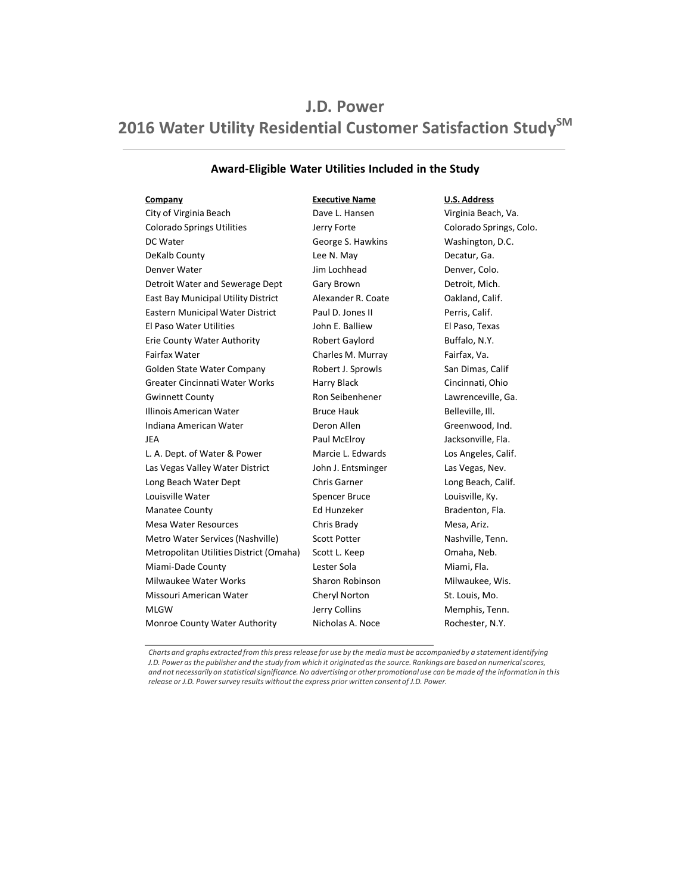### **Award-Eligible Water Utilities Included in the Study**

City of Virginia Beach Dave L. Hansen Virginia Beach, Va. Colorado Springs Utilities Jerry Forte Colorado Springs, Colo. DC Water George S. Hawkins Washington, D.C. DeKalb County **Decatur, Ga.** Lee N. May **Decatur, Ga.** Denver Water **Denver Water** Jim Lochhead **Denver, Colo.** Detroit Water and Sewerage Dept Gary Brown Gary Brown Detroit, Mich. East Bay Municipal Utility District Alexander R. Coate **Oakland, Calif.** Eastern Municipal Water District Paul D. Jones II Perris, Calif. El Paso Water Utilities John E. Balliew El Paso, Texas Erie County Water Authority **Robert Gaylord** Buffalo, N.Y. Fairfax Water **Charles M. Murray** Fairfax, Va. Golden State Water Company Robert J. Sprowls San Dimas, Calif Greater Cincinnati Water Works Harry Black Finding Cincinnati, Ohio Gwinnett County **Connect County** Ron Seibenhener **Lawrenceville, Ga.** Illinois American Water **Bruce Hauk** Bruce Hauk Belleville, Ill. Indiana American Water Deron Allen Greenwood, Ind. JEA Paul McElroy Jacksonville, Fla. L. A. Dept. of Water & Power Marcie L. Edwards Los Angeles, Calif. Las Vegas Valley Water District John J. Entsminger Las Vegas, Nev. Long Beach Water Dept **Chris Garner** Chris Garner Company Long Beach, Calif. Louisville Water **Spencer Bruce** Couisville, Ky. Manatee County **Ed Hunzeker** Ed Hunzeker Bradenton, Fla. Mesa Water Resources Chris Brady Mesa, Ariz. Metro Water Services (Nashville) Scott Potter Nashville, Tenn. Metropolitan Utilities District (Omaha) Scott L. Keep Comaha, Neb. Miami-Dade County **Miami, Fla.** Lester Sola **Miami, Fla.** And Miami, Fla. Milwaukee Water Works **Sharon Robinson** Milwaukee, Wis. Missouri American Water **Cheryl Norton** Cheryl Norton St. Louis, Mo. MLGW **Music Collins** Jerry Collins Memphis, Tenn. Monroe County Water Authority Micholas A. Noce Rochester, N.Y.

**Company Executive Name U.S. Address**